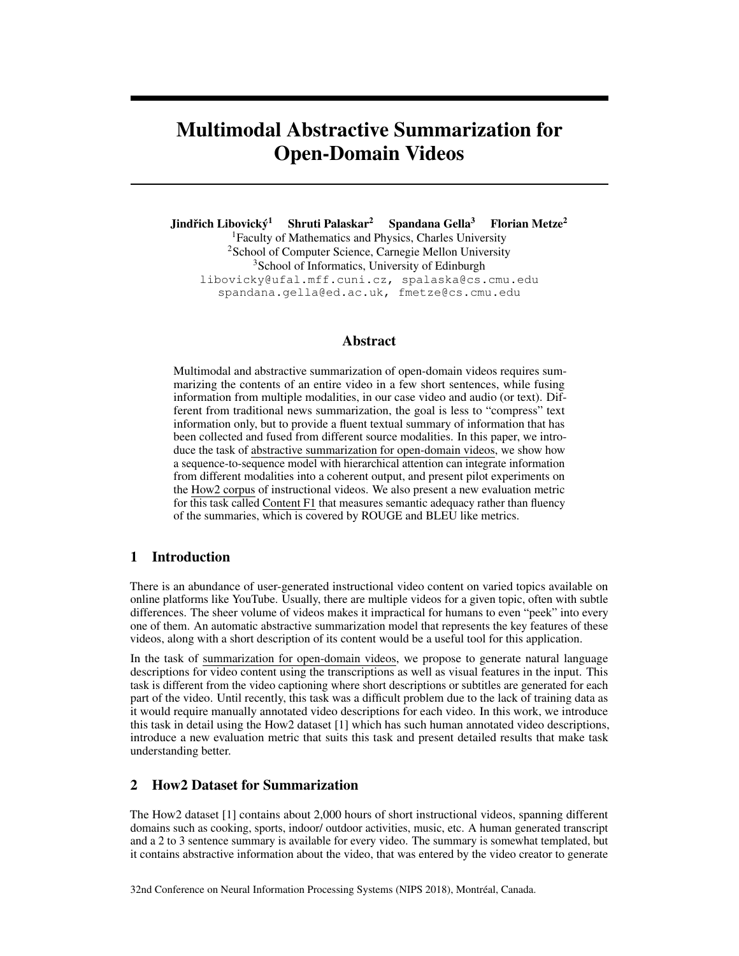# Multimodal Abstractive Summarization for Open-Domain Videos

Jindřich Libovický<sup>1</sup> Shruti Palaskar<sup>2</sup> Spandana Gella<sup>3</sup> Florian Metze<sup>2</sup> <sup>1</sup>Faculty of Mathematics and Physics, Charles University <sup>2</sup>School of Computer Science, Carnegie Mellon University <sup>3</sup>School of Informatics, University of Edinburgh libovicky@ufal.mff.cuni.cz, spalaska@cs.cmu.edu spandana.gella@ed.ac.uk, fmetze@cs.cmu.edu

### Abstract

Multimodal and abstractive summarization of open-domain videos requires summarizing the contents of an entire video in a few short sentences, while fusing information from multiple modalities, in our case video and audio (or text). Different from traditional news summarization, the goal is less to "compress" text information only, but to provide a fluent textual summary of information that has been collected and fused from different source modalities. In this paper, we introduce the task of abstractive summarization for open-domain videos, we show how a sequence-to-sequence model with hierarchical attention can integrate information from different modalities into a coherent output, and present pilot experiments on the How2 corpus of instructional videos. We also present a new evaluation metric for this task called Content F1 that measures semantic adequacy rather than fluency of the summaries, which is covered by ROUGE and BLEU like metrics.

# 1 Introduction

There is an abundance of user-generated instructional video content on varied topics available on online platforms like YouTube. Usually, there are multiple videos for a given topic, often with subtle differences. The sheer volume of videos makes it impractical for humans to even "peek" into every one of them. An automatic abstractive summarization model that represents the key features of these videos, along with a short description of its content would be a useful tool for this application.

In the task of summarization for open-domain videos, we propose to generate natural language descriptions for video content using the transcriptions as well as visual features in the input. This task is different from the video captioning where short descriptions or subtitles are generated for each part of the video. Until recently, this task was a difficult problem due to the lack of training data as it would require manually annotated video descriptions for each video. In this work, we introduce this task in detail using the How2 dataset [1] which has such human annotated video descriptions, introduce a new evaluation metric that suits this task and present detailed results that make task understanding better.

# 2 How2 Dataset for Summarization

The How2 dataset [1] contains about 2,000 hours of short instructional videos, spanning different domains such as cooking, sports, indoor/ outdoor activities, music, etc. A human generated transcript and a 2 to 3 sentence summary is available for every video. The summary is somewhat templated, but it contains abstractive information about the video, that was entered by the video creator to generate

32nd Conference on Neural Information Processing Systems (NIPS 2018), Montréal, Canada.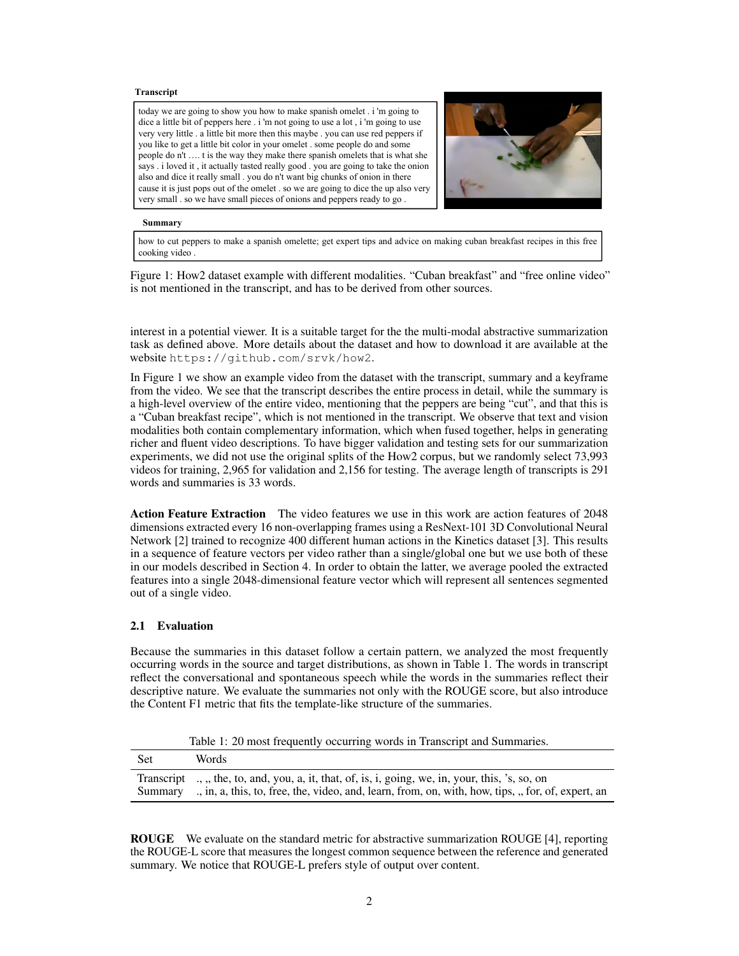#### **Transcript**

today we are going to show you how to make spanish omelet . i 'm going to dice a little bit of peppers here . i 'm not going to use a lot , i 'm going to use very very little . a little bit more then this maybe . you can use red peppers if you like to get a little bit color in your omelet . some people do and some people do n't …. t is the way they make there spanish omelets that is what she says . i loved it , it actually tasted really good . you are going to take the onion also and dice it really small . you do n't want big chunks of onion in there cause it is just pops out of the omelet . so we are going to dice the up also very very small . so we have small pieces of onions and peppers ready to go .



#### **Summary**

how to cut peppers to make a spanish omelette; get expert tips and advice on making cuban breakfast recipes in this free cooking video .

Figure 1: How2 dataset example with different modalities. "Cuban breakfast" and "free online video" is not mentioned in the transcript, and has to be derived from other sources.

interest in a potential viewer. It is a suitable target for the the multi-modal abstractive summarization task as defined above. More details about the dataset and how to download it are available at the website https://github.com/srvk/how2.

In Figure 1 we show an example video from the dataset with the transcript, summary and a keyframe from the video. We see that the transcript describes the entire process in detail, while the summary is a high-level overview of the entire video, mentioning that the peppers are being "cut", and that this is a "Cuban breakfast recipe", which is not mentioned in the transcript. We observe that text and vision modalities both contain complementary information, which when fused together, helps in generating richer and fluent video descriptions. To have bigger validation and testing sets for our summarization experiments, we did not use the original splits of the How2 corpus, but we randomly select 73,993 videos for training, 2,965 for validation and 2,156 for testing. The average length of transcripts is 291 words and summaries is 33 words.

Action Feature Extraction The video features we use in this work are action features of 2048 dimensions extracted every 16 non-overlapping frames using a ResNext-101 3D Convolutional Neural Network [2] trained to recognize 400 different human actions in the Kinetics dataset [3]. This results in a sequence of feature vectors per video rather than a single/global one but we use both of these in our models described in Section 4. In order to obtain the latter, we average pooled the extracted features into a single 2048-dimensional feature vector which will represent all sentences segmented out of a single video.

#### 2.1 Evaluation

Because the summaries in this dataset follow a certain pattern, we analyzed the most frequently occurring words in the source and target distributions, as shown in Table 1. The words in transcript reflect the conversational and spontaneous speech while the words in the summaries reflect their descriptive nature. We evaluate the summaries not only with the ROUGE score, but also introduce the Content F1 metric that fits the template-like structure of the summaries.

Table 1: 20 most frequently occurring words in Transcript and Summaries.

| Set     | Words                                                                                                                                                                                                |
|---------|------------------------------------------------------------------------------------------------------------------------------------------------------------------------------------------------------|
| Summarv | Transcript , the, to, and, you, a, it, that, of, is, i, going, we, in, your, this, 's, so, on<br>., in, a, this, to, free, the, video, and, learn, from, on, with, how, tips, ., for, of, expert, an |

ROUGE We evaluate on the standard metric for abstractive summarization ROUGE [4], reporting the ROUGE-L score that measures the longest common sequence between the reference and generated summary. We notice that ROUGE-L prefers style of output over content.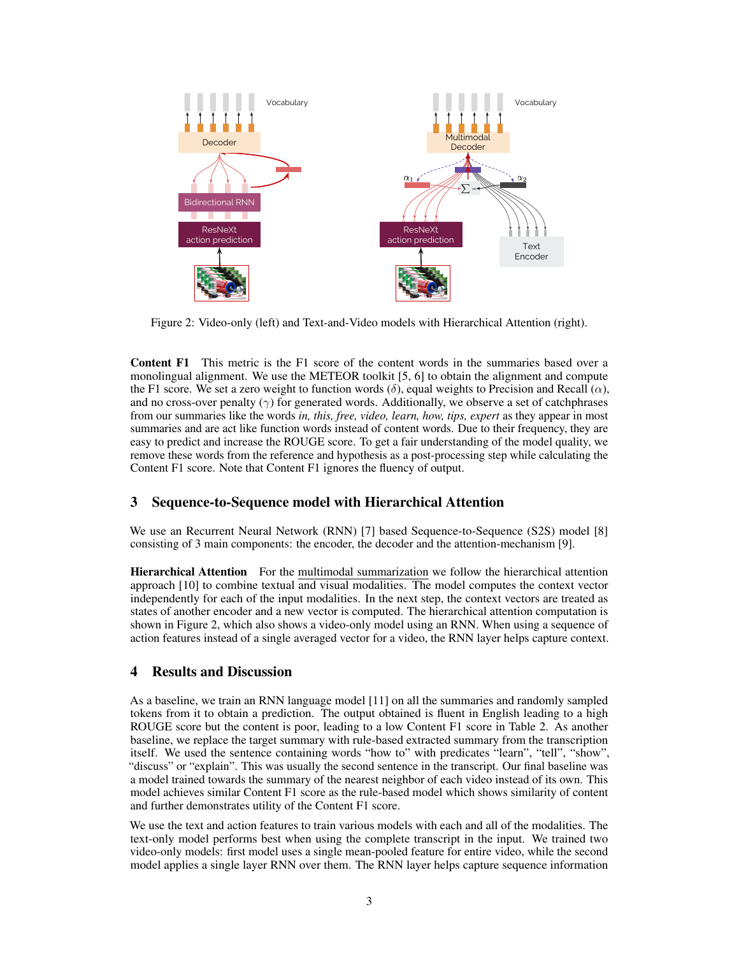

Figure 2: Video-only (left) and Text-and-Video models with Hierarchical Attention (right).

Content F1 This metric is the F1 score of the content words in the summaries based over a monolingual alignment. We use the METEOR toolkit [5, 6] to obtain the alignment and compute the F1 score. We set a zero weight to function words ( $\delta$ ), equal weights to Precision and Recall ( $\alpha$ ), and no cross-over penalty  $(\gamma)$  for generated words. Additionally, we observe a set of catchphrases from our summaries like the words *in, this, free, video, learn, how, tips, expert* as they appear in most summaries and are act like function words instead of content words. Due to their frequency, they are easy to predict and increase the ROUGE score. To get a fair understanding of the model quality, we remove these words from the reference and hypothesis as a post-processing step while calculating the Content F1 score. Note that Content F1 ignores the fluency of output.

# 3 Sequence-to-Sequence model with Hierarchical Attention

We use an Recurrent Neural Network (RNN) [7] based Sequence-to-Sequence (S2S) model [8] consisting of 3 main components: the encoder, the decoder and the attention-mechanism [9].

Hierarchical Attention For the multimodal summarization we follow the hierarchical attention approach [10] to combine textual and visual modalities. The model computes the context vector independently for each of the input modalities. In the next step, the context vectors are treated as states of another encoder and a new vector is computed. The hierarchical attention computation is shown in Figure 2, which also shows a video-only model using an RNN. When using a sequence of action features instead of a single averaged vector for a video, the RNN layer helps capture context.

# 4 Results and Discussion

As a baseline, we train an RNN language model [11] on all the summaries and randomly sampled tokens from it to obtain a prediction. The output obtained is fluent in English leading to a high ROUGE score but the content is poor, leading to a low Content F1 score in Table 2. As another baseline, we replace the target summary with rule-based extracted summary from the transcription itself. We used the sentence containing words "how to" with predicates "learn", "tell", "show", "discuss" or "explain". This was usually the second sentence in the transcript. Our final baseline was a model trained towards the summary of the nearest neighbor of each video instead of its own. This model achieves similar Content F1 score as the rule-based model which shows similarity of content and further demonstrates utility of the Content F1 score.

We use the text and action features to train various models with each and all of the modalities. The text-only model performs best when using the complete transcript in the input. We trained two video-only models: first model uses a single mean-pooled feature for entire video, while the second model applies a single layer RNN over them. The RNN layer helps capture sequence information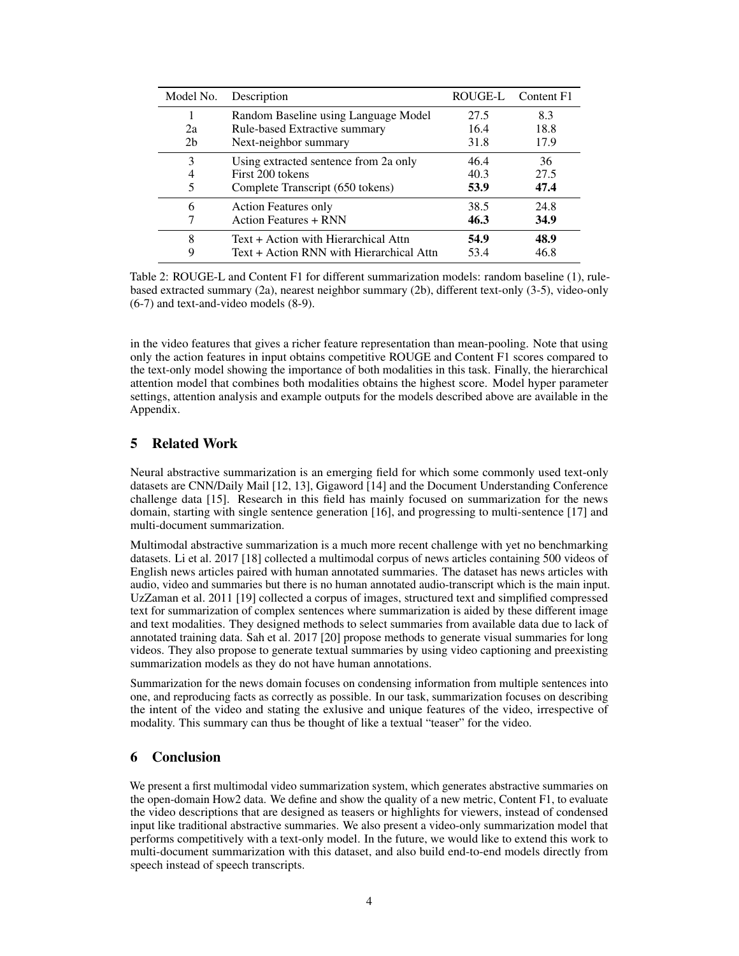| Model No.      | Description                              | ROUGE-L | Content F1 |
|----------------|------------------------------------------|---------|------------|
|                | Random Baseline using Language Model     | 27.5    | 8.3        |
| 2a             | Rule-based Extractive summary            | 16.4    | 18.8       |
| 2 <sub>b</sub> | Next-neighbor summary                    | 31.8    | 17.9       |
| 3              | Using extracted sentence from 2a only    | 46.4    | 36         |
| 4              | First 200 tokens                         | 40.3    | 27.5       |
| 5              | Complete Transcript (650 tokens)         | 53.9    | 47.4       |
| 6              | <b>Action Features only</b>              | 38.5    | 24.8       |
|                | <b>Action Features + RNN</b>             | 46.3    | 34.9       |
| 8              | Text + Action with Hierarchical Attn     | 54.9    | 48.9       |
| 9              | Text + Action RNN with Hierarchical Attn | 53.4    | 46.8       |

Table 2: ROUGE-L and Content F1 for different summarization models: random baseline (1), rulebased extracted summary (2a), nearest neighbor summary (2b), different text-only (3-5), video-only (6-7) and text-and-video models (8-9).

in the video features that gives a richer feature representation than mean-pooling. Note that using only the action features in input obtains competitive ROUGE and Content F1 scores compared to the text-only model showing the importance of both modalities in this task. Finally, the hierarchical attention model that combines both modalities obtains the highest score. Model hyper parameter settings, attention analysis and example outputs for the models described above are available in the Appendix.

# 5 Related Work

Neural abstractive summarization is an emerging field for which some commonly used text-only datasets are CNN/Daily Mail [12, 13], Gigaword [14] and the Document Understanding Conference challenge data [15]. Research in this field has mainly focused on summarization for the news domain, starting with single sentence generation [16], and progressing to multi-sentence [17] and multi-document summarization.

Multimodal abstractive summarization is a much more recent challenge with yet no benchmarking datasets. Li et al. 2017 [18] collected a multimodal corpus of news articles containing 500 videos of English news articles paired with human annotated summaries. The dataset has news articles with audio, video and summaries but there is no human annotated audio-transcript which is the main input. UzZaman et al. 2011 [19] collected a corpus of images, structured text and simplified compressed text for summarization of complex sentences where summarization is aided by these different image and text modalities. They designed methods to select summaries from available data due to lack of annotated training data. Sah et al. 2017 [20] propose methods to generate visual summaries for long videos. They also propose to generate textual summaries by using video captioning and preexisting summarization models as they do not have human annotations.

Summarization for the news domain focuses on condensing information from multiple sentences into one, and reproducing facts as correctly as possible. In our task, summarization focuses on describing the intent of the video and stating the exlusive and unique features of the video, irrespective of modality. This summary can thus be thought of like a textual "teaser" for the video.

# 6 Conclusion

We present a first multimodal video summarization system, which generates abstractive summaries on the open-domain How2 data. We define and show the quality of a new metric, Content F1, to evaluate the video descriptions that are designed as teasers or highlights for viewers, instead of condensed input like traditional abstractive summaries. We also present a video-only summarization model that performs competitively with a text-only model. In the future, we would like to extend this work to multi-document summarization with this dataset, and also build end-to-end models directly from speech instead of speech transcripts.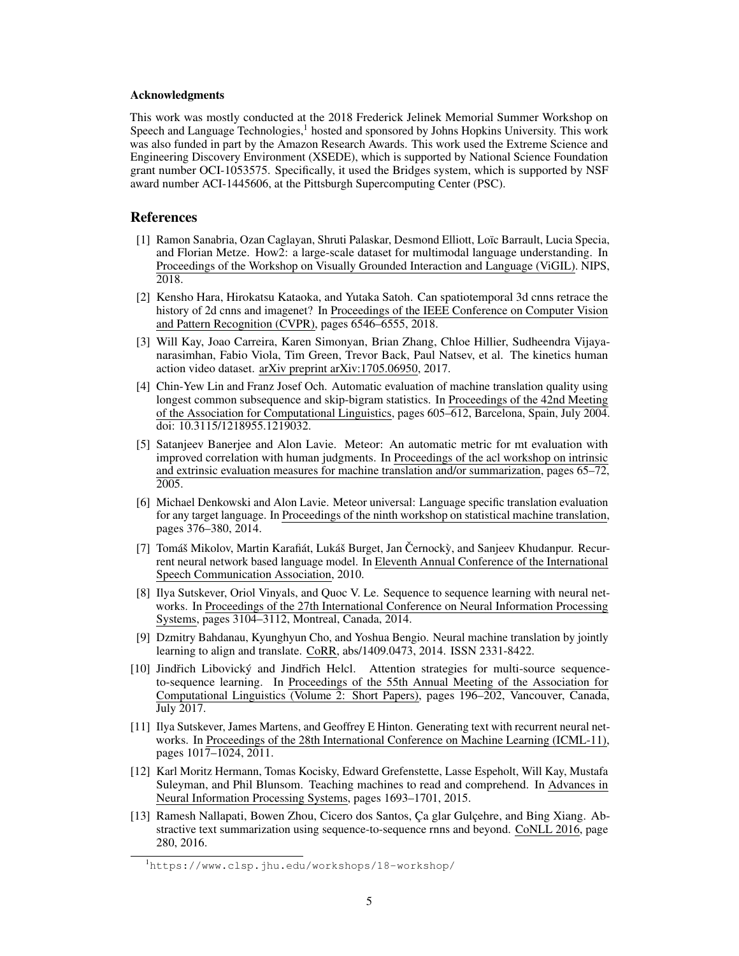#### Acknowledgments

This work was mostly conducted at the 2018 Frederick Jelinek Memorial Summer Workshop on Speech and Language Technologies, $<sup>1</sup>$  hosted and sponsored by Johns Hopkins University. This work</sup> was also funded in part by the Amazon Research Awards. This work used the Extreme Science and Engineering Discovery Environment (XSEDE), which is supported by National Science Foundation grant number OCI-1053575. Specifically, it used the Bridges system, which is supported by NSF award number ACI-1445606, at the Pittsburgh Supercomputing Center (PSC).

#### **References**

- [1] Ramon Sanabria, Ozan Caglayan, Shruti Palaskar, Desmond Elliott, Loïc Barrault, Lucia Specia, and Florian Metze. How2: a large-scale dataset for multimodal language understanding. In Proceedings of the Workshop on Visually Grounded Interaction and Language (ViGIL). NIPS, 2018.
- [2] Kensho Hara, Hirokatsu Kataoka, and Yutaka Satoh. Can spatiotemporal 3d cnns retrace the history of 2d cnns and imagenet? In Proceedings of the IEEE Conference on Computer Vision and Pattern Recognition (CVPR), pages 6546–6555, 2018.
- [3] Will Kay, Joao Carreira, Karen Simonyan, Brian Zhang, Chloe Hillier, Sudheendra Vijayanarasimhan, Fabio Viola, Tim Green, Trevor Back, Paul Natsev, et al. The kinetics human action video dataset. arXiv preprint arXiv:1705.06950, 2017.
- [4] Chin-Yew Lin and Franz Josef Och. Automatic evaluation of machine translation quality using longest common subsequence and skip-bigram statistics. In Proceedings of the 42nd Meeting of the Association for Computational Linguistics, pages 605–612, Barcelona, Spain, July 2004. doi: 10.3115/1218955.1219032.
- [5] Satanjeev Banerjee and Alon Lavie. Meteor: An automatic metric for mt evaluation with improved correlation with human judgments. In Proceedings of the acl workshop on intrinsic and extrinsic evaluation measures for machine translation and/or summarization, pages 65–72, 2005.
- [6] Michael Denkowski and Alon Lavie. Meteor universal: Language specific translation evaluation for any target language. In Proceedings of the ninth workshop on statistical machine translation, pages 376–380, 2014.
- [7] Tomáš Mikolov, Martin Karafiát, Lukáš Burget, Jan Černocký, and Sanjeev Khudanpur. Recurrent neural network based language model. In Eleventh Annual Conference of the International Speech Communication Association, 2010.
- [8] Ilya Sutskever, Oriol Vinyals, and Quoc V. Le. Sequence to sequence learning with neural networks. In Proceedings of the 27th International Conference on Neural Information Processing Systems, pages 3104–3112, Montreal, Canada, 2014.
- [9] Dzmitry Bahdanau, Kyunghyun Cho, and Yoshua Bengio. Neural machine translation by jointly learning to align and translate. CoRR, abs/1409.0473, 2014. ISSN 2331-8422.
- [10] Jindřich Libovický and Jindřich Helcl. Attention strategies for multi-source sequenceto-sequence learning. In Proceedings of the 55th Annual Meeting of the Association for Computational Linguistics (Volume 2: Short Papers), pages 196–202, Vancouver, Canada, July 2017.
- [11] Ilya Sutskever, James Martens, and Geoffrey E Hinton. Generating text with recurrent neural networks. In Proceedings of the 28th International Conference on Machine Learning (ICML-11), pages 1017–1024, 2011.
- [12] Karl Moritz Hermann, Tomas Kocisky, Edward Grefenstette, Lasse Espeholt, Will Kay, Mustafa Suleyman, and Phil Blunsom. Teaching machines to read and comprehend. In Advances in Neural Information Processing Systems, pages 1693–1701, 2015.
- [13] Ramesh Nallapati, Bowen Zhou, Cicero dos Santos, Ça glar Gulçehre, and Bing Xiang. Abstractive text summarization using sequence-to-sequence rnns and beyond. CoNLL 2016, page 280, 2016.

<sup>1</sup>https://www.clsp.jhu.edu/workshops/18-workshop/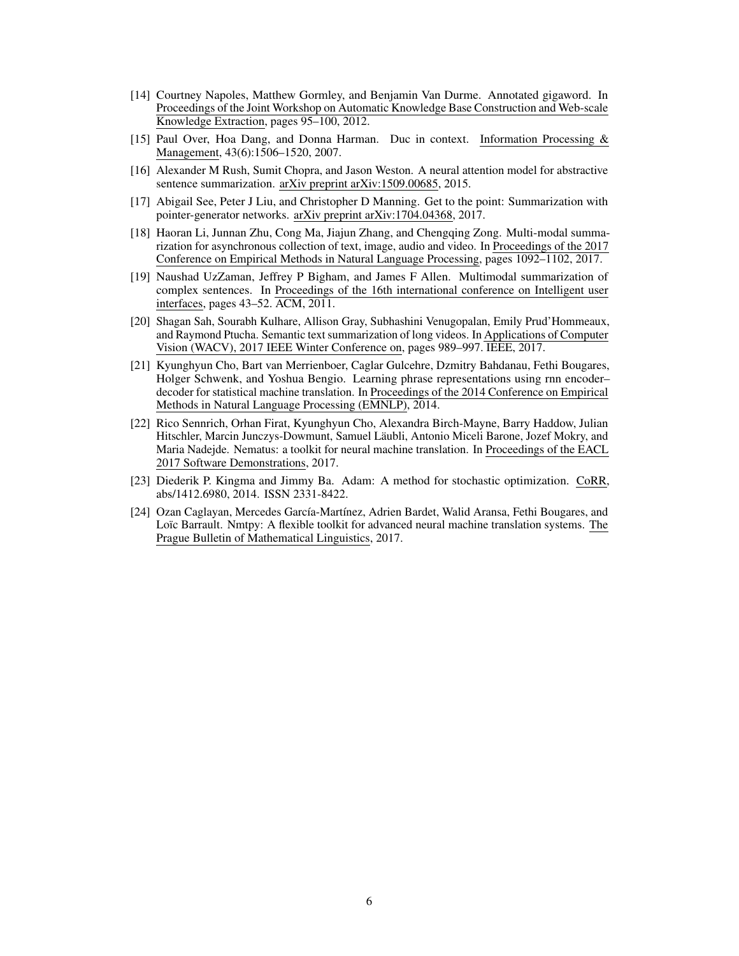- [14] Courtney Napoles, Matthew Gormley, and Benjamin Van Durme. Annotated gigaword. In Proceedings of the Joint Workshop on Automatic Knowledge Base Construction and Web-scale Knowledge Extraction, pages 95–100, 2012.
- [15] Paul Over, Hoa Dang, and Donna Harman. Duc in context. Information Processing & Management, 43(6):1506–1520, 2007.
- [16] Alexander M Rush, Sumit Chopra, and Jason Weston. A neural attention model for abstractive sentence summarization. arXiv preprint arXiv:1509.00685, 2015.
- [17] Abigail See, Peter J Liu, and Christopher D Manning. Get to the point: Summarization with pointer-generator networks. arXiv preprint arXiv:1704.04368, 2017.
- [18] Haoran Li, Junnan Zhu, Cong Ma, Jiajun Zhang, and Chengqing Zong. Multi-modal summarization for asynchronous collection of text, image, audio and video. In Proceedings of the 2017 Conference on Empirical Methods in Natural Language Processing, pages 1092–1102, 2017.
- [19] Naushad UzZaman, Jeffrey P Bigham, and James F Allen. Multimodal summarization of complex sentences. In Proceedings of the 16th international conference on Intelligent user interfaces, pages 43–52. ACM, 2011.
- [20] Shagan Sah, Sourabh Kulhare, Allison Gray, Subhashini Venugopalan, Emily Prud'Hommeaux, and Raymond Ptucha. Semantic text summarization of long videos. In Applications of Computer Vision (WACV), 2017 IEEE Winter Conference on, pages 989–997. IEEE, 2017.
- [21] Kyunghyun Cho, Bart van Merrienboer, Caglar Gulcehre, Dzmitry Bahdanau, Fethi Bougares, Holger Schwenk, and Yoshua Bengio. Learning phrase representations using rnn encoder– decoder for statistical machine translation. In Proceedings of the 2014 Conference on Empirical Methods in Natural Language Processing (EMNLP), 2014.
- [22] Rico Sennrich, Orhan Firat, Kyunghyun Cho, Alexandra Birch-Mayne, Barry Haddow, Julian Hitschler, Marcin Junczys-Dowmunt, Samuel Läubli, Antonio Miceli Barone, Jozef Mokry, and Maria Nadejde. Nematus: a toolkit for neural machine translation. In Proceedings of the EACL 2017 Software Demonstrations, 2017.
- [23] Diederik P. Kingma and Jimmy Ba. Adam: A method for stochastic optimization. CoRR, abs/1412.6980, 2014. ISSN 2331-8422.
- [24] Ozan Caglayan, Mercedes García-Martínez, Adrien Bardet, Walid Aransa, Fethi Bougares, and Loïc Barrault. Nmtpy: A flexible toolkit for advanced neural machine translation systems. The Prague Bulletin of Mathematical Linguistics, 2017.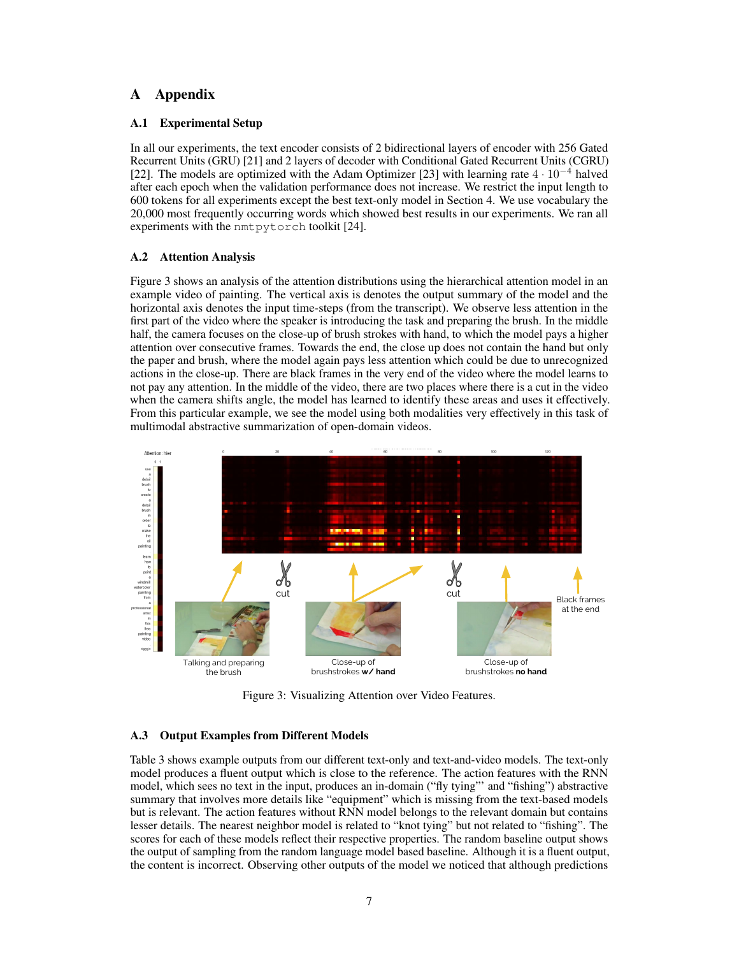# A Appendix

### A.1 Experimental Setup

In all our experiments, the text encoder consists of 2 bidirectional layers of encoder with 256 Gated Recurrent Units (GRU) [21] and 2 layers of decoder with Conditional Gated Recurrent Units (CGRU) [22]. The models are optimized with the Adam Optimizer [23] with learning rate  $4 \cdot 10^{-4}$  halved after each epoch when the validation performance does not increase. We restrict the input length to 600 tokens for all experiments except the best text-only model in Section 4. We use vocabulary the 20,000 most frequently occurring words which showed best results in our experiments. We ran all experiments with the nmtpytorch toolkit [24].

#### A.2 Attention Analysis

Figure 3 shows an analysis of the attention distributions using the hierarchical attention model in an example video of painting. The vertical axis is denotes the output summary of the model and the horizontal axis denotes the input time-steps (from the transcript). We observe less attention in the first part of the video where the speaker is introducing the task and preparing the brush. In the middle half, the camera focuses on the close-up of brush strokes with hand, to which the model pays a higher attention over consecutive frames. Towards the end, the close up does not contain the hand but only the paper and brush, where the model again pays less attention which could be due to unrecognized actions in the close-up. There are black frames in the very end of the video where the model learns to not pay any attention. In the middle of the video, there are two places where there is a cut in the video when the camera shifts angle, the model has learned to identify these areas and uses it effectively. From this particular example, we see the model using both modalities very effectively in this task of multimodal abstractive summarization of open-domain videos.



Figure 3: Visualizing Attention over Video Features.

## A.3 Output Examples from Different Models

Table 3 shows example outputs from our different text-only and text-and-video models. The text-only model produces a fluent output which is close to the reference. The action features with the RNN model, which sees no text in the input, produces an in-domain ("fly tying"' and "fishing") abstractive summary that involves more details like "equipment" which is missing from the text-based models but is relevant. The action features without RNN model belongs to the relevant domain but contains lesser details. The nearest neighbor model is related to "knot tying" but not related to "fishing". The scores for each of these models reflect their respective properties. The random baseline output shows the output of sampling from the random language model based baseline. Although it is a fluent output, the content is incorrect. Observing other outputs of the model we noticed that although predictions